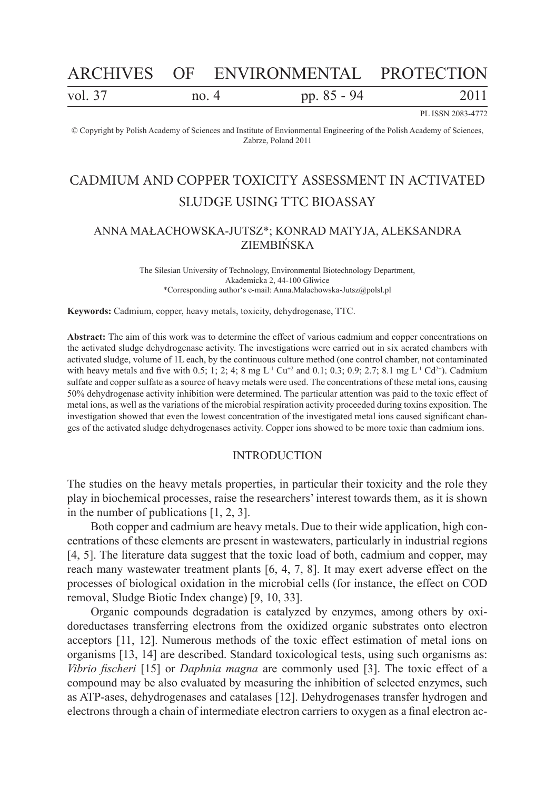# ARCHIVES OF ENVIRONMENTAL PROTECTION

| vol. 37<br>pp. 85 - 94<br>no. $4$ | 2011 |
|-----------------------------------|------|
|-----------------------------------|------|

PL ISSN 2083-4772

© Copyright by Polish Academy of Sciences and Institute of Envionmental Engineering of the Polish Academy of Sciences, Zabrze, Poland 2011

## CADMIUM AND COPPER TOXICITY ASSESSMENT IN ACTIVATED SLUDGE USING TTC BIOASSAY

### ANNA MAŁACHOWSKA-JUTSZ\*; KONRAD MATYJA, ALEKSANDRA ZIEMBIŃSKA

The Silesian University of Technology, Environmental Biotechnology Department, Akademicka 2, 44-100 Gliwice \*Corresponding author's e-mail: Anna.Malachowska-Jutsz@polsl.pl

**Keywords:** Cadmium, copper, heavy metals, toxicity, dehydrogenase, TTC.

**Abstract:** The aim of this work was to determine the effect of various cadmium and copper concentrations on the activated sludge dehydrogenase activity. The investigations were carried out in six aerated chambers with activated sludge, volume of 1L each, by the continuous culture method (one control chamber, not contaminated with heavy metals and five with 0.5; 1; 2; 4; 8 mg L<sup>-1</sup> Cu<sup>+2</sup> and 0.1; 0.3; 0.9; 2.7; 8.1 mg L<sup>-1</sup> Cd<sup>2+</sup>). Cadmium sulfate and copper sulfate as a source of heavy metals were used. The concentrations of these metal ions, causing 50% dehydrogenase activity inhibition were determined. The particular attention was paid to the toxic effect of metal ions, as well as the variations of the microbial respiration activity proceeded during toxins exposition. The investigation showed that even the lowest concentration of the investigated metal ions caused significant changes of the activated sludge dehydrogenases activity. Copper ions showed to be more toxic than cadmium ions.

### INTRODUCTION

The studies on the heavy metals properties, in particular their toxicity and the role they play in biochemical processes, raise the researchers' interest towards them, as it is shown in the number of publications [1, 2, 3].

Both copper and cadmium are heavy metals. Due to their wide application, high concentrations of these elements are present in wastewaters, particularly in industrial regions [4, 5]. The literature data suggest that the toxic load of both, cadmium and copper, may reach many wastewater treatment plants [6, 4, 7, 8]. It may exert adverse effect on the processes of biological oxidation in the microbial cells (for instance, the effect on COD removal, Sludge Biotic Index change) [9, 10, 33].

Organic compounds degradation is catalyzed by enzymes, among others by oxidoreductases transferring electrons from the oxidized organic substrates onto electron acceptors [11, 12]. Numerous methods of the toxic effect estimation of metal ions on organisms [13, 14] are described. Standard toxicological tests, using such organisms as: *Vibrio fischeri* [15] or *Daphnia magna* are commonly used [3]. The toxic effect of a compound may be also evaluated by measuring the inhibition of selected enzymes, such as ATP-ases, dehydrogenases and catalases [12]. Dehydrogenases transfer hydrogen and electrons through a chain of intermediate electron carriers to oxygen as a final electron ac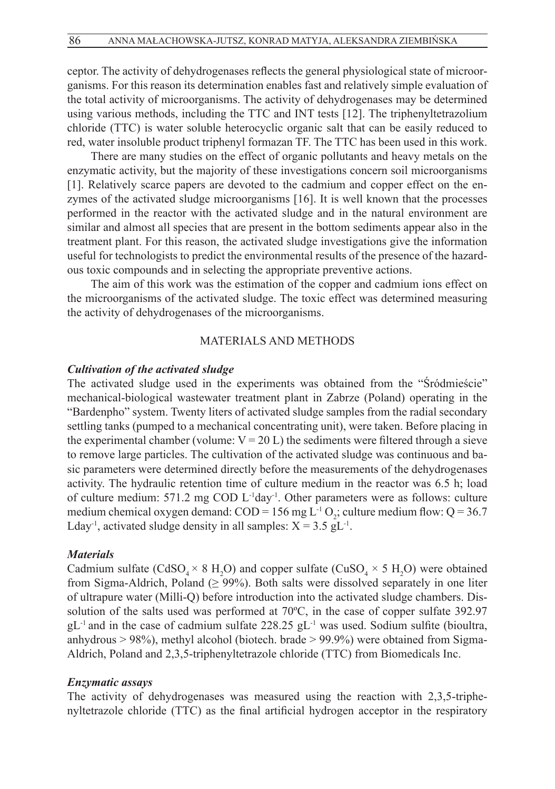ceptor. The activity of dehydrogenases reflects the general physiological state of microorganisms. For this reason its determination enables fast and relatively simple evaluation of the total activity of microorganisms. The activity of dehydrogenases may be determined using various methods, including the TTC and INT tests [12]. The triphenyltetrazolium chloride (TTC) is water soluble heterocyclic organic salt that can be easily reduced to red, water insoluble product triphenyl formazan TF. The TTC has been used in this work.

There are many studies on the effect of organic pollutants and heavy metals on the enzymatic activity, but the majority of these investigations concern soil microorganisms [1]. Relatively scarce papers are devoted to the cadmium and copper effect on the enzymes of the activated sludge microorganisms [16]. It is well known that the processes performed in the reactor with the activated sludge and in the natural environment are similar and almost all species that are present in the bottom sediments appear also in the treatment plant. For this reason, the activated sludge investigations give the information useful for technologists to predict the environmental results of the presence of the hazardous toxic compounds and in selecting the appropriate preventive actions.

The aim of this work was the estimation of the copper and cadmium ions effect on the microorganisms of the activated sludge. The toxic effect was determined measuring the activity of dehydrogenases of the microorganisms.

### MATERIALS AND METHODS

### *Cultivation of the activated sludge*

The activated sludge used in the experiments was obtained from the "Śródmieście" mechanical-biological wastewater treatment plant in Zabrze (Poland) operating in the "Bardenpho" system. Twenty liters of activated sludge samples from the radial secondary settling tanks (pumped to a mechanical concentrating unit), were taken. Before placing in the experimental chamber (volume:  $V = 20 L$ ) the sediments were filtered through a sieve to remove large particles. The cultivation of the activated sludge was continuous and basic parameters were determined directly before the measurements of the dehydrogenases activity. The hydraulic retention time of culture medium in the reactor was 6.5 h; load of culture medium: 571.2 mg COD L-1day-1. Other parameters were as follows: culture medium chemical oxygen demand:  $\text{COD} = 156 \text{ mg L} \cdot \text{O}_2$ ; culture medium flow: Q = 36.7 Lday<sup>-1</sup>, activated sludge density in all samples:  $X = 3.5$  gL<sup>-1</sup>.

### *Materials*

Cadmium sulfate (CdSO<sub>4</sub>  $\times$  8 H<sub>2</sub>O) and copper sulfate (CuSO<sub>4</sub>  $\times$  5 H<sub>2</sub>O) were obtained from Sigma-Aldrich, Poland ( $\geq$  99%). Both salts were dissolved separately in one liter of ultrapure water (Milli-Q) before introduction into the activated sludge chambers. Dissolution of the salts used was performed at 70ºC, in the case of copper sulfate 392.97  $gL$ <sup>-1</sup> and in the case of cadmium sulfate 228.25 gL<sup>-1</sup> was used. Sodium sulfite (bioultra, anhydrous > 98%), methyl alcohol (biotech. brade > 99.9%) were obtained from Sigma-Aldrich, Poland and 2,3,5-triphenyltetrazole chloride (TTC) from Biomedicals Inc.

### *Enzymatic assays*

The activity of dehydrogenases was measured using the reaction with 2,3,5-triphenyltetrazole chloride (TTC) as the final artificial hydrogen acceptor in the respiratory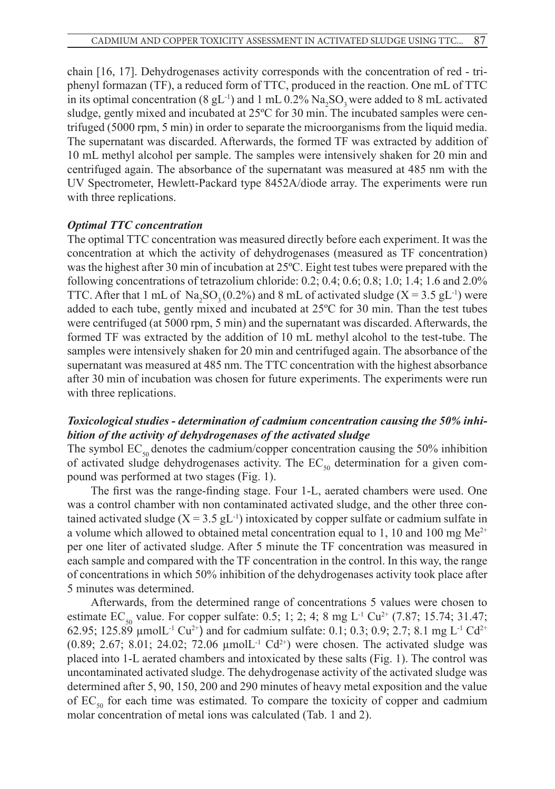chain [16, 17]. Dehydrogenases activity corresponds with the concentration of red - triphenyl formazan (TF), a reduced form of TTC, produced in the reaction. One mL of TTC in its optimal concentration (8 gL<sup>-1</sup>) and 1 mL 0.2% Na<sub>2</sub>SO<sub>3</sub> were added to 8 mL activated sludge, gently mixed and incubated at 25ºC for 30 min. The incubated samples were centrifuged (5000 rpm, 5 min) in order to separate the microorganisms from the liquid media. The supernatant was discarded. Afterwards, the formed TF was extracted by addition of 10 mL methyl alcohol per sample. The samples were intensively shaken for 20 min and centrifuged again. The absorbance of the supernatant was measured at 485 nm with the UV Spectrometer, Hewlett-Packard type 8452A/diode array. The experiments were run with three replications.

### *Optimal TTC concentration*

The optimal TTC concentration was measured directly before each experiment. It was the concentration at which the activity of dehydrogenases (measured as TF concentration) was the highest after 30 min of incubation at 25ºC. Eight test tubes were prepared with the following concentrations of tetrazolium chloride: 0.2; 0.4; 0.6; 0.8; 1.0; 1.4; 1.6 and 2.0% TTC. After that 1 mL of  $\text{Na}_2\text{SO}_3(0.2\%)$  and 8 mL of activated sludge (X = 3.5 gL<sup>-1</sup>) were added to each tube, gently mixed and incubated at 25ºC for 30 min. Than the test tubes were centrifuged (at 5000 rpm, 5 min) and the supernatant was discarded. Afterwards, the formed TF was extracted by the addition of 10 mL methyl alcohol to the test-tube. The samples were intensively shaken for 20 min and centrifuged again. The absorbance of the supernatant was measured at 485 nm. The TTC concentration with the highest absorbance after 30 min of incubation was chosen for future experiments. The experiments were run with three replications.

### *Toxicological studies - determination of cadmium concentration causing the 50% inhibition of the activity of dehydrogenases of the activated sludge*

The symbol  $EC_{50}$  denotes the cadmium/copper concentration causing the 50% inhibition of activated sludge dehydrogenases activity. The  $EC_{so}$  determination for a given compound was performed at two stages (Fig. 1).

The first was the range-finding stage. Four 1-L, aerated chambers were used. One was a control chamber with non contaminated activated sludge, and the other three contained activated sludge  $(X = 3.5 \text{ gL}^{-1})$  intoxicated by copper sulfate or cadmium sulfate in a volume which allowed to obtained metal concentration equal to 1, 10 and 100 mg  $Me^{2+}$ per one liter of activated sludge. After 5 minute the TF concentration was measured in each sample and compared with the TF concentration in the control. In this way, the range of concentrations in which 50% inhibition of the dehydrogenases activity took place after 5 minutes was determined.

Afterwards, from the determined range of concentrations 5 values were chosen to estimate  $EC_{50}$  value. For copper sulfate: 0.5; 1; 2; 4; 8 mg L<sup>-1</sup> Cu<sup>2+</sup> (7.87; 15.74; 31.47; 62.95; 125.89 µmolL<sup>-1</sup> Cu<sup>2+</sup>) and for cadmium sulfate: 0.1; 0.3; 0.9; 2.7; 8.1 mg L<sup>-1</sup> Cd<sup>2+</sup> (0.89; 2.67; 8.01; 24.02; 72.06  $\mu$ molL<sup>-1</sup> Cd<sup>2+</sup>) were chosen. The activated sludge was placed into 1-L aerated chambers and intoxicated by these salts (Fig. 1). The control was uncontaminated activated sludge. The dehydrogenase activity of the activated sludge was determined after 5, 90, 150, 200 and 290 minutes of heavy metal exposition and the value of  $EC_{so}$  for each time was estimated. To compare the toxicity of copper and cadmium molar concentration of metal ions was calculated (Tab. 1 and 2).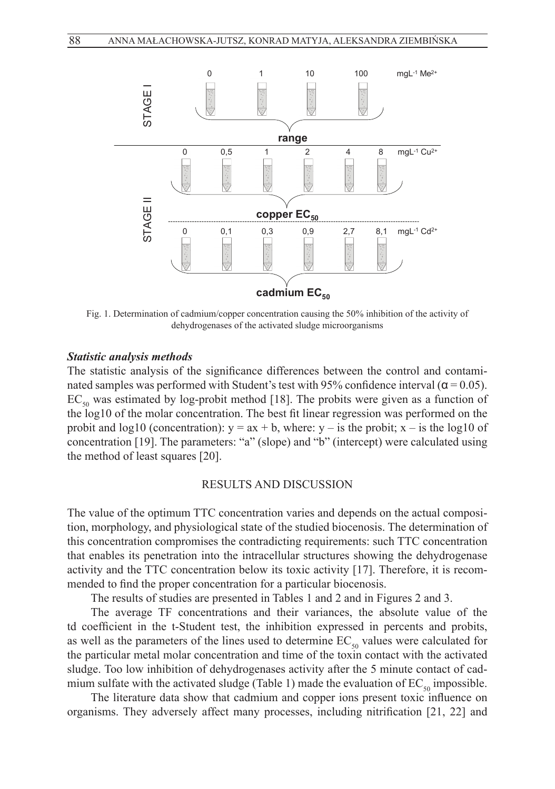

Fig. 1. Determination of cadmium/copper concentration causing the 50% inhibition of the activity of activity of dehydrogenases of the activated sludge microorganisms dehydrogenases of the activated sludge microorganisms

### *Statistic analysis methods*

The statistic analysis of the significance differences between the control and contaminated samples was performed with Student's test with 95% confidence interval ( $\alpha$  = 0.05).  $EC_{50}$  was estimated by log-probit method [18]. The probits were given as a function of the log10 of the molar concentration. The best fit linear regression was performed on the probit and log10 (concentration):  $y = ax + b$ , where:  $y - is$  the probit;  $x - is$  the log10 of concentration [19]. The parameters: "a" (slope) and "b" (intercept) were calculated using the method of least squares [20].

### RESULTS AND DISCUSSION

The value of the optimum TTC concentration varies and depends on the actual composition, morphology, and physiological state of the studied biocenosis. The determination of this concentration compromises the contradicting requirements: such TTC concentration that enables its penetration into the intracellular structures showing the dehydrogenase activity and the TTC concentration below its toxic activity [17]. Therefore, it is recommended to find the proper concentration for a particular biocenosis.

The results of studies are presented in Tables 1 and 2 and in Figures 2 and 3.

The average TF concentrations and their variances, the absolute value of the td coefficient in the t-Student test, the inhibition expressed in percents and probits, as well as the parameters of the lines used to determine  $EC_{50}$  values were calculated for the particular metal molar concentration and time of the toxin contact with the activated sludge. Too low inhibition of dehydrogenases activity after the 5 minute contact of cadmium sulfate with the activated sludge (Table 1) made the evaluation of  $EC_{50}$  impossible.

The literature data show that cadmium and copper ions present toxic influence on organisms. They adversely affect many processes, including nitrification [21, 22] and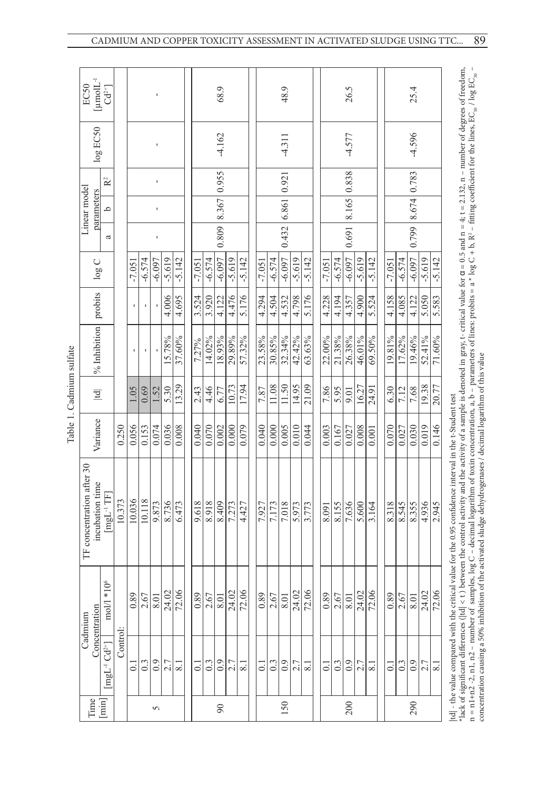| 3<br>$\ddot{ }$<br>Ę |
|----------------------|
| ⊟<br>ೆ               |
|                      |
| аb.<br>J<br>÷        |

| EC50<br>log EC50                             | $\begin{array}{ll} {\rm [mmol L^{-1} }\\ {\rm Cd^{\scriptscriptstyle 2+}} \end{array}$ |          |                   |          |          |          |          |               |          | 68.9<br>$-4.162$    |          |                     |          |          | 48.9<br>$-4.311$    |          |                       |                    |          | 26.5<br>$-4.577$    |                   |          |          |          | 25.4<br>$-4.596$  |                        |          |
|----------------------------------------------|----------------------------------------------------------------------------------------|----------|-------------------|----------|----------|----------|----------|---------------|----------|---------------------|----------|---------------------|----------|----------|---------------------|----------|-----------------------|--------------------|----------|---------------------|-------------------|----------|----------|----------|-------------------|------------------------|----------|
| Linear model<br>parameters                   | $\mathbf{R}^2$<br>م                                                                    |          |                   |          | ı<br>ı   |          |          |               |          | $0.809$ 8.367 0.955 |          |                     |          |          | $0.432$ 6.861 0.921 |          |                       |                    |          | $0.691$ 8.165 0.838 |                   |          |          |          | 0.799 8.674 0.783 |                        |          |
|                                              | a                                                                                      |          |                   |          | ı        |          |          |               |          |                     |          |                     |          |          |                     |          |                       |                    |          |                     |                   |          |          |          |                   |                        |          |
| $\log C$                                     |                                                                                        |          | $-7.051$          | $-6.574$ | $-6.097$ | $-5.619$ | $-5.142$ | $-7.051$      | $-6.574$ | $-6.097$            | $-5.619$ | $-5.142$            | $-7.051$ | $-6.574$ | $-6.097$            | $-5.619$ | $-5.142$              | $-7.051$           | $-6.574$ | $-6.097$            | $-5.619$          | $-5.142$ | $-7.051$ | $-6.574$ | $-6.097$          | $-5.619$               | $-5.142$ |
| probits                                      |                                                                                        |          |                   |          |          | 4.006    | 4.695    | 3.524         | 3.920    | 4.122               | 4.476    | 5.176               | 4.294    | 4.504    | 4.532               | 4.798    | 5.176                 | 4.228              | 4.194    | 4.357               | 4.900             | 5.524    | 4.158    | 4.085    | 4.122             | 5.050                  | 5.583    |
| $%$ Inhibition                               |                                                                                        |          |                   |          |          | 15.78%   | 37.60%   | 7.27%         | 14.02%   | 18.93%              | 29.89%   | 57.32%              | 23.58%   | 30.85%   | 32.34%              | 42.42%   | 63.63%                | 22.00%             | 21.38%   | 26.38%              | 46.01%            | 69.50%   | 19.81%   | 17.62%   | 19.46%            | 52.41%                 | 71.60%   |
| $\overline{\mathbf{p}}$                      |                                                                                        |          | 1.05              | 0.69     | 1.52     | 5.30     | 13.29    | 2.43          | 4.46     | 6.77                | 10.73    | 17.94               | 7.87     | 11.08    | 1.50                | 14.95    | 21.09                 | 7.86               | 5.95     | 9.01                | 16.27             | 24.91    | 6.30     | 7.12     | 7.68              | 19.38                  | 20.77    |
| Variance                                     |                                                                                        | 0.250    | 0.056             | 0.153    | 0.074    | 0.036    | 0.008    | 0.040         | 0.070    | 0.002               | 0.000    | 0.079               | 0.040    | 0.000    | 0.005               | 0.010    | 0.044                 | 0.003              | 0.167    | 0.027               | 0.008             | 0.001    | 0.070    | 0.027    | 0.030             | 0.019                  | 0.146    |
| TF concentration after 30<br>incubation time | mgL <sup>-1</sup> TF]                                                                  | 10.373   | 10.036            | 10.118   | 9.873    | 8.736    | 6.473    | 9.618         | 8.918    | 8.409               | 7.273    | 4.427               | 7.927    | 7.173    | 7.018               | 5.973    | 3.773                 | 8.091              | 8.155    | 7.636               | 5.600             | 3.164    | 8.318    | 8.545    | 8.355             | 4.936                  | 2.945    |
| Concentration<br>Cadmium                     | $*106$<br>$\bmod\hspace{-0.08cm}{\mathbb{M}}$                                          |          | $\overline{8}$ :0 | 2.67     | 8.0      | 24.02    | 72.06    | $\frac{8}{3}$ | 2.67     | 8.0                 | 24.02    | 72.06               | 0.89     | 2.67     | 8.0                 |          | $\frac{24.02}{72.06}$ | 0.89               | 2.67     | 8.0                 | $\bar{c}$<br>24.0 | 72.06    | 0.89     | 2.67     | 8.01              | $\overline{C}$<br>24.0 | 72.06    |
|                                              | $[mgL^{-1}Cd^{2+}]$                                                                    | Control: | $\ddot{\circ}$    | 0.3      | 0.9      | 2.7      | 8.1      | $\bar{\circ}$ | 0.3      | 0.9                 | 2.7      | $\overline{\infty}$ | ತ        | 0.3      | 0.9                 | 2.7      | ∞                     | $\overline{\circ}$ | 0.3      | 0.9                 | 2.7               | 8.       | 5        | 0.3      | 0.9               | $\frac{2.7}{8.1}$      |          |
| Time                                         | $[\min]$                                                                               |          |                   |          | 5        |          |          |               |          | $\infty$            |          |                     |          |          | 150                 |          |                       |                    |          | 200                 |                   |          |          |          | 290               |                        |          |

89 CADMIUM AND COPPER TOXICITY ASSESSMENT IN ACTIVATED SLUDGE USING TTC...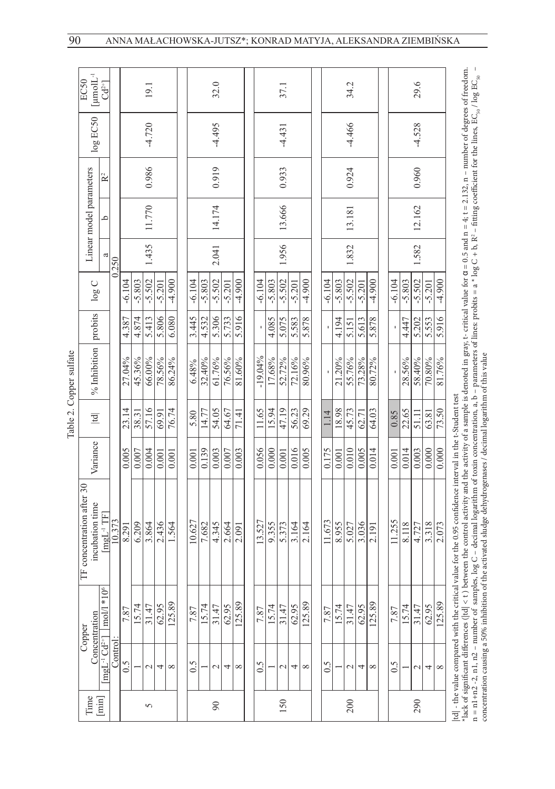| ğ<br>۱<br>×. | ŏ<br>ŗ<br>έ |
|--------------|-------------|
|              |             |
|              |             |
|              |             |
|              |             |

90

|                         | $\rm [mmol L^{-1}$<br>EC50                   | $Cd^{2+}$                                |         |          |          | 19.1          |          |              |          |          | 32.0        |          |          |                           |          | 37.1        |          |          |                           |          | 34.2         |          |          |          |          | 29.6        |          |          |                                                                                                                                                                                                                                                                                                    |
|-------------------------|----------------------------------------------|------------------------------------------|---------|----------|----------|---------------|----------|--------------|----------|----------|-------------|----------|----------|---------------------------|----------|-------------|----------|----------|---------------------------|----------|--------------|----------|----------|----------|----------|-------------|----------|----------|----------------------------------------------------------------------------------------------------------------------------------------------------------------------------------------------------------------------------------------------------------------------------------------------------|
|                         | log EC50                                     |                                          |         |          |          | $-4.720$      |          |              |          |          | $-4.495$    |          |          |                           |          | $-4.431$    |          |          |                           |          | $-4.466$     |          |          |          |          | $-4.528$    |          |          |                                                                                                                                                                                                                                                                                                    |
|                         |                                              | R <sup>2</sup>                           |         |          |          | 0.986         |          |              |          |          | 0.919       |          |          |                           |          | 0.933       |          |          |                           |          | 0.924        |          |          |          |          | 0.960       |          |          |                                                                                                                                                                                                                                                                                                    |
|                         | Linear model parameters                      | م                                        |         |          |          | 11.770        |          |              |          |          | 14.174      |          |          |                           |          | 13.666      |          |          |                           |          | 13.181       |          |          |          |          | 12.162      |          |          |                                                                                                                                                                                                                                                                                                    |
|                         |                                              |                                          | 0.250   |          |          | 1.435         |          |              |          |          | 2.041       |          |          |                           |          | 1.956       |          |          |                           |          | 1.832        |          |          |          |          | 1.582       |          |          |                                                                                                                                                                                                                                                                                                    |
|                         | $\log C$                                     |                                          |         | $-6.104$ | $-5.803$ | $-5.502$      | $-5.201$ | $-4.900$     | $-6.104$ | $-5.803$ | $-5.502$    | $-5.201$ | $-4.900$ | $-6.104$                  | $-5.803$ | $-5.502$    | $-5.201$ | $-4.900$ | $-6.104$                  | $-5.803$ | $-5.502$     | $-5.201$ | $-4.900$ | $-6.104$ | $-5.803$ | $-5.502$    | $-5.201$ | $-4.900$ |                                                                                                                                                                                                                                                                                                    |
|                         | probits                                      |                                          |         | 4.387    | 4.874    | 5.413         | 5.806    | 6.080        | 3.445    | 4.532    | 5.306       | 5.733    | 5.916    |                           | 4.085    | 5.075       | 5.583    | 5.878    |                           | 4.194    | 5.151        | 5.613    | 5.878    |          | 4.447    | 5.202       | 5.553    | 5.916    |                                                                                                                                                                                                                                                                                                    |
| Table 2. Copper sulfate | % Inhibition                                 |                                          |         | 27.04%   | 45.36%   | 66.00%        | 78.56%   | 86.24%       | 6.48%    | 32.40%   | 61.76%      | 76.56%   | 81.60%   | $-19.04%$                 | 17.68%   | 52.72%      | 72.16%   | 80.96%   |                           | 21.20%   | 55.76%       | 73.28%   | 80.72%   |          | 28.56%   | 58.40%      | 70.80%   | 81.76%   |                                                                                                                                                                                                                                                                                                    |
|                         | $\mathbb{E}$                                 |                                          |         | 23.14    | 38.31    | 57.16         | 69.91    | 76.74        | 5.80     | 14.77    | 54.05       | 64.67    | 71.41    | 11.65                     | 15.94    | 47.19       | 56.23    | 69.29    | 1.14                      | 18.98    | 45.73        | 62.71    | 64.03    | 0.85     | 22.65    | 51.11       | 63.81    | 73.50    |                                                                                                                                                                                                                                                                                                    |
|                         | Variance                                     |                                          |         | 0.005    | 0.007    | 0.004         | 0.001    | 0.001        | 0.001    | 0.139    | 0.003       | 0.007    | 0.003    | 0.056                     | 0.000    | 0.001       | 0.016    | 0.005    | 0.175                     | 0.001    | 0.010        | 0.005    | 0.014    | 0.001    | 0.014    | 0.003       | 0.000    | 0.000    |                                                                                                                                                                                                                                                                                                    |
|                         | TF concentration after 30<br>incubation time | $\left[\text{mgL}^{-1} \text{TF}\right]$ | 10.373  | 8.291    | 6.209    | 3.864         | 2.436    | 1.564        | 10.627   | 7.682    | 4.345       | 2.664    | 2.091    | 13.527                    | 9.355    | 5.373       | 3.164    | 2.164    | 11.673                    | 8.955    | 5.027        | 3.036    | 2.191    | 11.255   | 8.118    | 4.727       | 3.318    | 2.073    | lack of significant differences ( td  < t ) between the control activity and the activity of a sample is denoted in gray, t- critical value for $\alpha = 0.5$ and $n = 4$ ; $t = 2.132$ , n - number of degrees of freedom.<br>tical value for the 0.95 confidence interval in the t-Student test |
|                         | Concentration<br>Copper                      | 10 <sup>6</sup><br>$ mol $ *             |         | 7.87     | 15.74    | 31.47         | 62.95    | 125.89       | 7.87     | 15.74    | 31.47       | 62.95    | 125.89   | 7.87                      | 15.74    | 31.47       | 62.95    | 125.89   | 7.87                      | 15.74    | 31.47        | 62.95    | 125.89   | 7.87     | 15.74    | 31.47       | 62.95    | 125.89   |                                                                                                                                                                                                                                                                                                    |
|                         |                                              | $mgL^{-1}Cd^{2+}$                        | Control | 0.5      |          | $\mathcal{L}$ | 4        | ${}^{\circ}$ | 0.5      |          | $\mathbf 2$ | 4        | $\infty$ | $\widetilde{\phantom{0}}$ |          | $\mathbf 2$ | 4        | $\infty$ | $\widetilde{\phantom{0}}$ |          | $\mathbf{c}$ | 4        | $\infty$ | 0.5      |          | $\mathbf 2$ | 4        | $\infty$ | td - the value compared with the crit<br>Hack of significant differences ( td  <                                                                                                                                                                                                                   |
|                         | Time                                         | $[\min]$                                 |         |          |          | 5             |          |              |          |          | 90          |          |          |                           |          | 150         |          |          |                           |          | 200          |          |          |          |          | 290         |          |          |                                                                                                                                                                                                                                                                                                    |

n = n1+n2 -2, n1, n2 – number of samples, log C – decimal logarithm of toxin concentration, a, b – parameters of lines: probits = a \* log C + b, R² – fitting coefficient for the lines, EC<sub>90</sub> / log EC<sub>50</sub> – ILDES,  $EC_{50}$  /  $108$   $EC_{50}$ e<br>⊟ ğ птив соепстепт  $U + D, K^ \frac{108}{10}$ .<br>" n = n1+n2 -2, n1, n2 – number of samples, log C – decimal logarithm of toxin concentration, a, b – parameters of lines: probits<br>concentration causing a 50% inhibition of the activated sludge dehydrogenases / decimal logari concentration causing a 50% inhibition of the activated sludge dehydrogenases / decimal logarithm of this value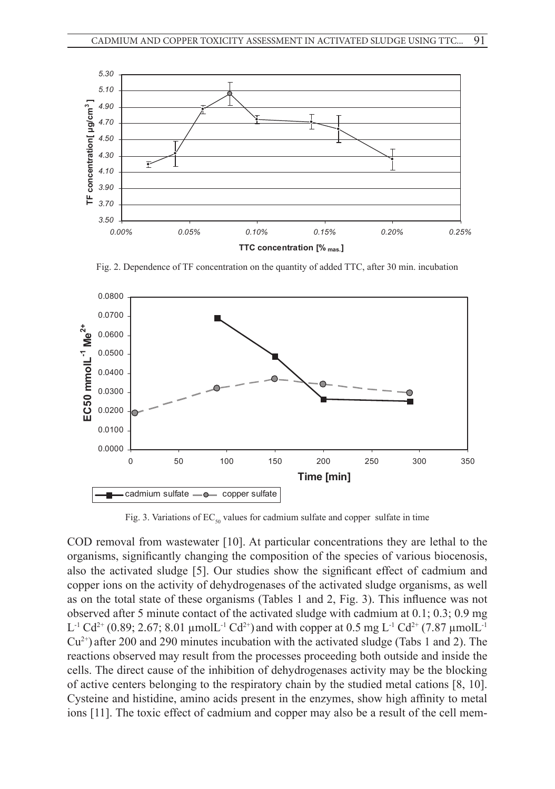

Fig. 2. Dependence of TF concentration on the quantity of added TTC, after 30 min. incubation



Fig. 3. Variations of  $EC_{50}$  values for cadmium sulfate and copper sulfate in time

 $\mathcal{L}_{\mathcal{A}}$  is a value since  $\mathcal{A}$  values for cadimium subfate and copper subfate and copper subfate in time

COD removal from wastewater [10]. At particular concentrations they are lethal to the organisms, significantly changing the composition of the species of various biocenosis, also the activated sludge [5]. Our studies show the significant effect of cadmium and copper ions on the activity of dehydrogenases of the activated sludge organisms, as well as on the total state of these organisms (Tables 1 and 2, Fig. 3). This influence was not observed after 5 minute contact of the activated sludge with cadmium at 0.1; 0.3; 0.9 mg  $L^{-1}$  Cd<sup>2+</sup> (0.89; 2.67; 8.01 µmol $L^{-1}$  Cd<sup>2+</sup>) and with copper at 0.5 mg  $L^{-1}$  Cd<sup>2+</sup> (7.87 µmol $L^{-1}$  $Cu^{2+}$ ) after 200 and 290 minutes incubation with the activated sludge (Tabs 1 and 2). The reactions observed may result from the processes proceeding both outside and inside the cells. The direct cause of the inhibition of dehydrogenases activity may be the blocking of active centers belonging to the respiratory chain by the studied metal cations [8, 10]. Cysteine and histidine, amino acids present in the enzymes, show high affinity to metal ions [11]. The toxic effect of cadmium and copper may also be a result of the cell mem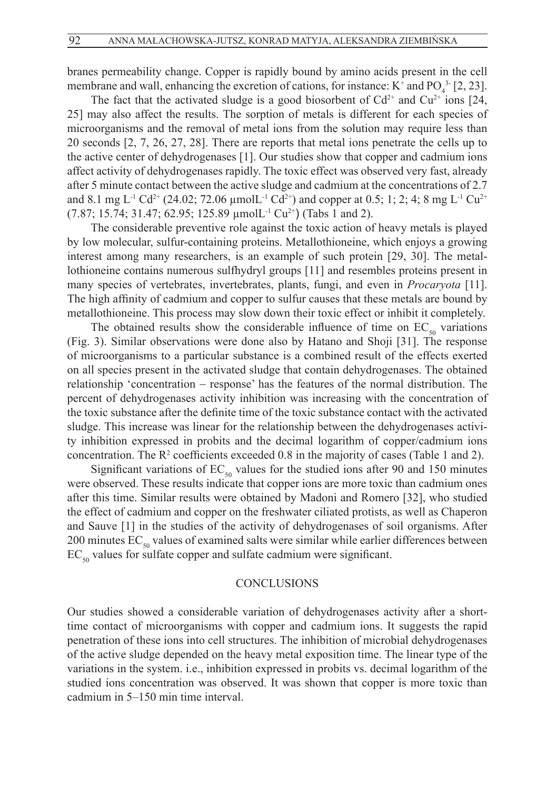branes permeability change. Copper is rapidly bound by amino acids present in the cell membrane and wall, enhancing the excretion of cations, for instance:  $K^+$  and  $PO_4^{3.5}$  [2, 23].

The fact that the activated sludge is a good biosorbent of  $Cd^{2+}$  and  $Cu^{2+}$  ions [24, 25] may also affect the results. The sorption of metals is different for each species of microorganisms and the removal of metal ions from the solution may require less than 20 seconds [2, 7, 26, 27, 28]. There are reports that metal ions penetrate the cells up to the active center of dehydrogenases [1]. Our studies show that copper and cadmium ions affect activity of dehydrogenases rapidly. The toxic effect was observed very fast, already after 5 minute contact between the active sludge and cadmium at the concentrations of 2.7 and 8.1 mg L<sup>-1</sup> Cd<sup>2+</sup> (24.02; 72.06 µmolL<sup>-1</sup> Cd<sup>2+</sup>) and copper at 0.5; 1; 2; 4; 8 mg L<sup>-1</sup> Cu<sup>2+</sup>  $(7.87; 15.74; 31.47; 62.95; 125.89 \mu molL^{-1} Cu^{2+})$  (Tabs 1 and 2).

The considerable preventive role against the toxic action of heavy metals is played by low molecular, sulfur-containing proteins. Metallothioneine, which enjoys a growing interest among many researchers, is an example of such protein [29, 30]. The metallothioneine contains numerous sulfhydryl groups [11] and resembles proteins present in many species of vertebrates, invertebrates, plants, fungi, and even in *Procaryota* [11]. The high affinity of cadmium and copper to sulfur causes that these metals are bound by metallothioneine. This process may slow down their toxic effect or inhibit it completely.

The obtained results show the considerable influence of time on  $EC_{\rm so}$  variations (Fig. 3). Similar observations were done also by Hatano and Shoji [31]. The response of microorganisms to a particular substance is a combined result of the effects exerted on all species present in the activated sludge that contain dehydrogenases. The obtained relationship 'concentration - response' has the features of the normal distribution. The percent of dehydrogenases activity inhibition was increasing with the concentration of the toxic substance after the definite time of the toxic substance contact with the activated sludge. This increase was linear for the relationship between the dehydrogenases activity inhibition expressed in probits and the decimal logarithm of copper/cadmium ions concentration. The  $\mathbb{R}^2$  coefficients exceeded 0.8 in the majority of cases (Table 1 and 2).

Significant variations of  $EC_{50}$  values for the studied ions after 90 and 150 minutes were observed. These results indicate that copper ions are more toxic than cadmium ones after this time. Similar results were obtained by Madoni and Romero [32], who studied the effect of cadmium and copper on the freshwater ciliated protists, as well as Chaperon and Sauve [1] in the studies of the activity of dehydrogenases of soil organisms. After 200 minutes  $EC_{50}$  values of examined salts were similar while earlier differences between  $EC_{50}$  values for sulfate copper and sulfate cadmium were significant.

### **CONCLUSIONS**

Our studies showed a considerable variation of dehydrogenases activity after a shorttime contact of microorganisms with copper and cadmium ions. It suggests the rapid penetration of these ions into cell structures. The inhibition of microbial dehydrogenases of the active sludge depended on the heavy metal exposition time. The linear type of the variations in the system. i.e., inhibition expressed in probits vs. decimal logarithm of the studied ions concentration was observed. It was shown that copper is more toxic than cadmium in 5–150 min time interval.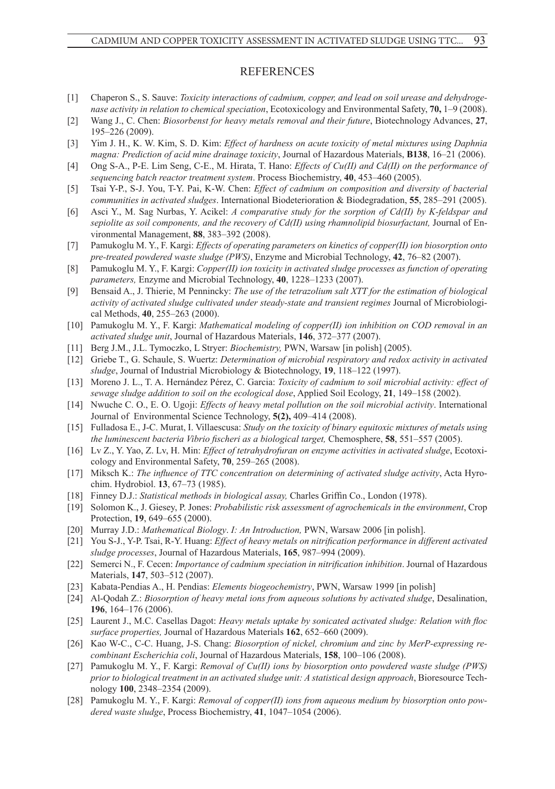#### **REFERENCES**

- [1] Chaperon S., S. Sauve: *Toxicity interactions of cadmium, copper, and lead on soil urease and dehydrogenase activity in relation to chemical speciation*, Ecotoxicology and Environmental Safety, **70,** 1–9 (2008).
- [2] Wang J., C. Chen: *Biosorbenst for heavy metals removal and their future*, Biotechnology Advances, **27**, 195–226 (2009).
- [3] Yim J. H., K. W. Kim, S. D. Kim: *Effect of hardness on acute toxicity of metal mixtures using Daphnia magna: Prediction of acid mine drainage toxicity*, Journal of Hazardous Materials, **B138**, 16–21 (2006).
- [4] Ong S-A., P-E. Lim Seng, C-E., M. Hirata, T. Hano: *Effects of Cu(II) and Cd(II) on the performance of sequencing batch reactor treatment system*. Process Biochemistry, **40**, 453–460 (2005).
- [5] Tsai Y-P., S-J. You, T-Y. Pai, K-W. Chen: *Effect of cadmium on composition and diversity of bacterial communities in activated sludges*. International Biodeterioration & Biodegradation, **55**, 285–291 (2005).
- [6] Asci Y., M. Sag Nurbas, Y. Acikel: *A comparative study for the sorption of Cd(II) by K-feldspar and sepiolite as soil components, and the recovery of Cd(II) using rhamnolipid biosurfactant,* Journal of Environmental Management, **88**, 383–392 (2008).
- [7] Pamukoglu M. Y., F. Kargi: *Effects of operating parameters on kinetics of copper(II) ion biosorption onto pre-treated powdered waste sludge (PWS)*, Enzyme and Microbial Technology, **42**, 76–82 (2007).
- [8] Pamukoglu M. Y., F. Kargi: *Copper(II) ion toxicity in activated sludge processes as function of operating parameters,* Enzyme and Microbial Technology, **40**, 1228–1233 (2007).
- [9] Bensaid A., J. Thierie, M Pennincky: *The use of the tetrazolium salt XTT for the estimation of biological activity of activated sludge cultivated under steady-state and transient regimes* Journal of Microbiological Methods, **40**, 255–263 (2000).
- [10] Pamukoglu M. Y., F. Kargi: *Mathematical modeling of copper(II) ion inhibition on COD removal in an activated sludge unit*, Journal of Hazardous Materials, **146**, 372–377 (2007).
- [11] Berg J.M., J.L. Tymoczko, L Stryer: *Biochemistry,* PWN, Warsaw [in polish] (2005).
- [12] Griebe T., G. Schaule, S. Wuertz: *Determination of microbial respiratory and redox activity in activated sludge*, Journal of Industrial Microbiology & Biotechnology, **19**, 118–122 (1997).
- [13] Moreno J. L., T. A. Hernández Pérez, C. Garcia: *Toxicity of cadmium to soil microbial activity: effect of sewage sludge addition to soil on the ecological dose*, Applied Soil Ecology, **21**, 149–158 (2002).
- [14] Nwuche C. O., E. O. Ugoji: *Effects of heavy metal pollution on the soil microbial activity*. International Journal of Environmental Science Technology, **5(2),** 409–414 (2008).
- [15] Fulladosa E., J-C. Murat, I. Villaescusa: *Study on the toxicity of binary equitoxic mixtures of metals using the luminescent bacteria Vibrio fischeri as a biological target,* Chemosphere, **58**, 551–557 (2005).
- [16] Lv Z., Y. Yao, Z. Lv, H. Min: *Effect of tetrahydrofuran on enzyme activities in activated sludge*, Ecotoxicology and Environmental Safety, **70**, 259–265 (2008).
- [17] Miksch K.: *The influence of TTC concentration on determining of activated sludge activity*, Acta Hyrochim. Hydrobiol. **13**, 67–73 (1985).
- [18] Finney D.J.: *Statistical methods in biological assay,* Charles Griffin Co., London (1978).
- [19] Solomon K., J. Giesey, P. Jones: *Probabilistic risk assessment of agrochemicals in the environment*, Crop Protection, **19**, 649–655 (2000).
- [20] Murray J.D.: *Mathematical Biology*. *I: An Introduction,* PWN, Warsaw 2006 [in polish].
- [21] You S-J., Y-P. Tsai, R-Y. Huang: *Effect of heavy metals on nitrification performance in different activated sludge processes*, Journal of Hazardous Materials, **165**, 987–994 (2009).
- [22] Semerci N., F. Cecen: *Importance of cadmium speciation in nitrification inhibition*. Journal of Hazardous Materials, **147**, 503–512 (2007).
- [23] Kabata-Pendias A., H. Pendias: *Elements biogeochemistry*, PWN, Warsaw 1999 [in polish]
- [24] Al-Qodah Z.: *Biosorption of heavy metal ions from aqueous solutions by activated sludge*, Desalination, **196**, 164–176 (2006).
- [25] Laurent J., M.C. Casellas Dagot: *Heavy metals uptake by sonicated activated sludge: Relation with floc surface properties,* Journal of Hazardous Materials **162**, 652–660 (2009).
- [26] Kao W-C., C-C. Huang, J-S. Chang: *Biosorption of nickel, chromium and zinc by MerP-expressing recombinant Escherichia coli*, Journal of hazardous materials, **158**, 100–106 (2008).
- [27] Pamukoglu M. Y., F. Kargi: *Removal of Cu(II) ions by biosorption onto powdered waste sludge (PWS) prior to biological treatment in an activated sludge unit: A statistical design approach*, Bioresource Technology **100**, 2348–2354 (2009).
- [28] Pamukoglu M. Y., F. Kargi: *Removal of copper(II) ions from aqueous medium by biosorption onto powdered waste sludge*, Process Biochemistry, **41**, 1047–1054 (2006).